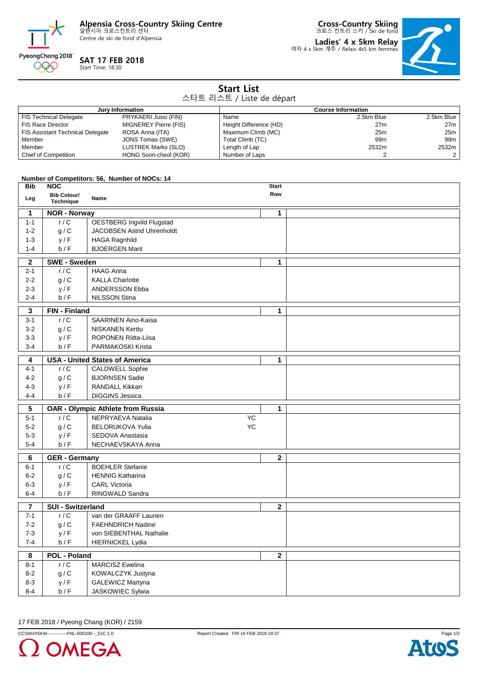**Alpensia Cross-Country Skiing Centre** 알펜시아 크로스컨트리 센터

Centre de ski de fond d'Alpensia



## **SAT 17 FEB 2018**

Start Time: 18:30

**Cross-Country Skiing** 크로스 컨트리 스키 / Ski de fond

**Ladies' 4 x 5km Relay** 여자 4 x 5km 계주 / Relais 4x5 km femmes



| <b>Start List</b><br>스타트 리스트 / Liste de départ |                                         |                                               |                                |                                         |                |                |  |  |
|------------------------------------------------|-----------------------------------------|-----------------------------------------------|--------------------------------|-----------------------------------------|----------------|----------------|--|--|
|                                                |                                         |                                               |                                |                                         |                |                |  |  |
|                                                | <b>FIS Technical Delegate</b>           | Jury Information<br>PRYKAERI Jussi (FIN)      |                                | <b>Course Information</b><br>2.5km Blue | 2.5km Blue     |                |  |  |
|                                                | <b>FIS Race Director</b>                | MIGNEREY Pierre (FIS)                         | Name<br>Height Difference (HD) |                                         | 27m            | 27m            |  |  |
|                                                | <b>FIS Assistant Technical Delegate</b> | ROSA Anna (ITA)                               | Maximum Climb (MC)             |                                         | 25m            | 25m            |  |  |
| Member                                         |                                         | JONS Tomas (SWE)                              | Total Climb (TC)               |                                         | 99m            | 99m            |  |  |
| Member                                         |                                         | LUSTREK Marko (SLO)                           | Length of Lap                  |                                         | 2532m          | 2532m          |  |  |
|                                                | Chief of Competition                    | HONG Soon-cheol (KOR)                         | Number of Laps                 |                                         | $\overline{2}$ | $\overline{2}$ |  |  |
|                                                |                                         |                                               |                                |                                         |                |                |  |  |
|                                                |                                         | Number of Competitors: 56, Number of NOCs: 14 |                                |                                         |                |                |  |  |
| <b>Bib</b>                                     | <b>NOC</b>                              |                                               |                                | <b>Start</b>                            |                |                |  |  |
|                                                | <b>Bib Colour/</b>                      |                                               |                                | Row                                     |                |                |  |  |
| Leg                                            | Technique                               | Name                                          |                                |                                         |                |                |  |  |
| 1                                              | <b>NOR - Norway</b>                     |                                               |                                | 1                                       |                |                |  |  |
| $1 - 1$                                        | r/C                                     | <b>OESTBERG Ingvild Flugstad</b>              |                                |                                         |                |                |  |  |
| $1 - 2$                                        | g/C                                     | JACOBSEN Astrid Uhrenholdt                    |                                |                                         |                |                |  |  |
| $1 - 3$                                        | y/F                                     | <b>HAGA Ragnhild</b>                          |                                |                                         |                |                |  |  |
| $1 - 4$                                        | b/F                                     | <b>BJOERGEN Marit</b>                         |                                |                                         |                |                |  |  |
| $\mathbf{2}$                                   | <b>SWE - Sweden</b>                     |                                               |                                | $\mathbf 1$                             |                |                |  |  |
| $2 - 1$                                        | r/C                                     | <b>HAAG Anna</b>                              |                                |                                         |                |                |  |  |
| $2 - 2$                                        | g/C                                     | <b>KALLA Charlotte</b>                        |                                |                                         |                |                |  |  |
| 2-3                                            | y/F                                     | ANDERSSON Ebba                                |                                |                                         |                |                |  |  |
| $2 - 4$                                        | b/F                                     | <b>NILSSON Stina</b>                          |                                |                                         |                |                |  |  |
|                                                |                                         |                                               |                                |                                         |                |                |  |  |
| 3                                              | FIN - Finland                           |                                               |                                | 1                                       |                |                |  |  |
| $3 - 1$                                        | r/C                                     | SAARINEN Aino-Kaisa                           |                                |                                         |                |                |  |  |
| $3 - 2$                                        | g/C                                     | <b>NISKANEN Kerttu</b>                        |                                |                                         |                |                |  |  |
| $3-3$                                          | y/F                                     | <b>ROPONEN Riitta-Liisa</b>                   |                                |                                         |                |                |  |  |
| $3 - 4$                                        | b/F                                     | <b>PARMAKOSKI Krista</b>                      |                                |                                         |                |                |  |  |
| 4                                              |                                         | <b>USA - United States of America</b>         |                                | $\mathbf 1$                             |                |                |  |  |
| $4 - 1$                                        | r/C                                     | <b>CALDWELL Sophie</b>                        |                                |                                         |                |                |  |  |
| $4 - 2$                                        | g/C                                     | <b>BJORNSEN Sadie</b>                         |                                |                                         |                |                |  |  |
| $4 - 3$                                        | y/F                                     | <b>RANDALL Kikkan</b>                         |                                |                                         |                |                |  |  |
| 4-4                                            | b/F                                     | <b>DIGGINS Jessica</b>                        |                                |                                         |                |                |  |  |
| 5                                              |                                         | <b>OAR - Olympic Athlete from Russia</b>      |                                | 1                                       |                |                |  |  |
| $5 - 1$                                        | r/C                                     | NEPRYAEVA Natalia                             | YC                             |                                         |                |                |  |  |
| $5-2$                                          | g/C                                     | <b>BELORUKOVA Yulia</b>                       | YC                             |                                         |                |                |  |  |
| $5 - 3$                                        | y/F                                     | SEDOVA Anastasia                              |                                |                                         |                |                |  |  |
| $5-4$                                          | b/F                                     | NECHAEVSKAYA Anna                             |                                |                                         |                |                |  |  |
|                                                |                                         |                                               |                                |                                         |                |                |  |  |
| 6                                              | <b>GER</b> - Germany                    |                                               |                                | $\mathbf{2}$                            |                |                |  |  |
| $6 - 1$                                        | r/C                                     | <b>BOEHLER Stefanie</b>                       |                                |                                         |                |                |  |  |
| $6 - 2$                                        | g/C                                     | <b>HENNIG Katharina</b>                       |                                |                                         |                |                |  |  |
| $6 - 3$                                        | y/F                                     | <b>CARL Victoria</b>                          |                                |                                         |                |                |  |  |
| $6-4$                                          | b/F                                     | RINGWALD Sandra                               |                                |                                         |                |                |  |  |
| $\overline{\phantom{a}}$                       | <b>SUI - Switzerland</b>                |                                               |                                |                                         |                |                |  |  |
| $7 - 1$                                        | r/C                                     | van der GRAAFF Laurien                        |                                |                                         |                |                |  |  |
| $7 - 2$                                        | g/C                                     | <b>FAEHNDRICH Nadine</b>                      |                                |                                         |                |                |  |  |
| $7 - 3$                                        | y/F                                     | von SIEBENTHAL Nathalie                       |                                |                                         |                |                |  |  |
| $7 - 4$                                        | b/F                                     | <b>HIERNICKEL Lydia</b>                       |                                |                                         |                |                |  |  |
| 8                                              | <b>POL - Poland</b><br>$\mathbf{2}$     |                                               |                                |                                         |                |                |  |  |
| $8 - 1$                                        | r/C                                     | <b>MARCISZ Ewelina</b>                        |                                |                                         |                |                |  |  |
| $8 - 2$                                        | g/C                                     | KOWALCZYK Justyna                             |                                |                                         |                |                |  |  |
| $8 - 3$                                        | y/F                                     | <b>GALEWICZ Martyna</b>                       |                                |                                         |                |                |  |  |
| $8 - 4$                                        | b/F                                     | JASKOWIEC Sylwia                              |                                |                                         |                |                |  |  |